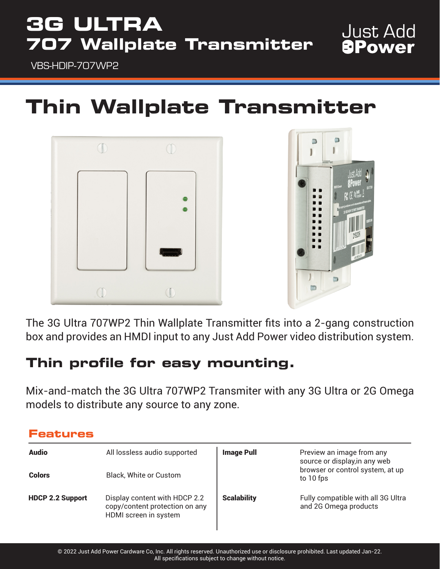## **3G ULTRA 707 Wallplate Transmitter**

**Just Add** *<u>APower</u>* 

VBS-HDIP-707WP2

**Features**

# **Thin Wallplate Transmitter**





The 3G Ultra 707WP2 Thin Wallplate Transmitter fits into a 2-gang construction box and provides an HMDI input to any Just Add Power video distribution system.

## **Thin profile for easy mounting.**

Mix-and-match the 3G Ultra 707WP2 Transmiter with any 3G Ultra or 2G Omega models to distribute any source to any zone.

| I GOUGH GJ              |                                                                                          |                    |                                                                                                             |  |
|-------------------------|------------------------------------------------------------------------------------------|--------------------|-------------------------------------------------------------------------------------------------------------|--|
| <b>Audio</b>            | All lossless audio supported                                                             | <b>Image Pull</b>  | Preview an image from any<br>source or display, in any web<br>browser or control system, at up<br>to 10 fps |  |
| <b>Colors</b>           | Black, White or Custom                                                                   |                    |                                                                                                             |  |
| <b>HDCP 2.2 Support</b> | Display content with HDCP 2.2<br>copy/content protection on any<br>HDMI screen in system | <b>Scalability</b> | Fully compatible with all 3G Ultra<br>and 2G Omega products                                                 |  |